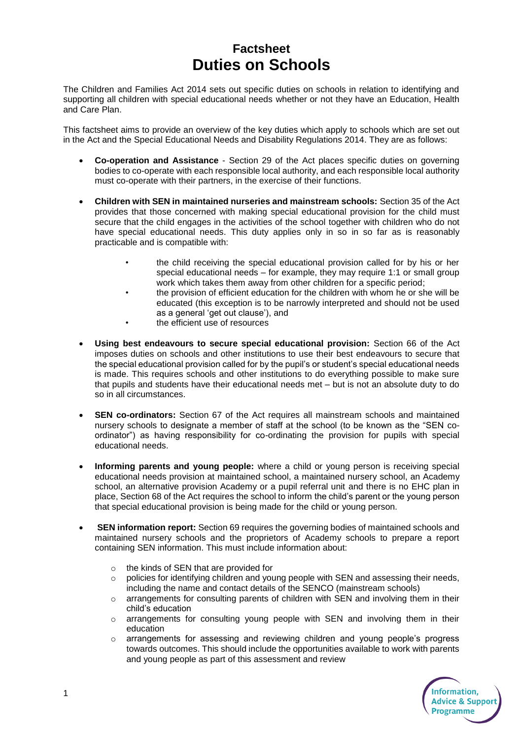## **Factsheet Duties on Schools**

The Children and Families Act 2014 sets out specific duties on schools in relation to identifying and supporting all children with special educational needs whether or not they have an Education, Health and Care Plan.

This factsheet aims to provide an overview of the key duties which apply to schools which are set out in the Act and the Special Educational Needs and Disability Regulations 2014. They are as follows:

- **Co-operation and Assistance** Section 29 of the Act places specific duties on governing bodies to co-operate with each responsible local authority, and each responsible local authority must co-operate with their partners, in the exercise of their functions.
- **Children with SEN in maintained nurseries and mainstream schools:** Section 35 of the Act provides that those concerned with making special educational provision for the child must secure that the child engages in the activities of the school together with children who do not have special educational needs. This duty applies only in so in so far as is reasonably practicable and is compatible with:
	- the child receiving the special educational provision called for by his or her special educational needs – for example, they may require 1:1 or small group work which takes them away from other children for a specific period;
	- the provision of efficient education for the children with whom he or she will be educated (this exception is to be narrowly interpreted and should not be used as a general 'get out clause'), and
	- the efficient use of resources
- **Using best endeavours to secure special educational provision:** Section 66 of the Act imposes duties on schools and other institutions to use their best endeavours to secure that the special educational provision called for by the pupil's or student's special educational needs is made. This requires schools and other institutions to do everything possible to make sure that pupils and students have their educational needs met – but is not an absolute duty to do so in all circumstances.
- **SEN co-ordinators:** Section 67 of the Act requires all mainstream schools and maintained nursery schools to designate a member of staff at the school (to be known as the "SEN coordinator") as having responsibility for co-ordinating the provision for pupils with special educational needs.
- **Informing parents and young people:** where a child or young person is receiving special educational needs provision at maintained school, a maintained nursery school, an Academy school, an alternative provision Academy or a pupil referral unit and there is no EHC plan in place, Section 68 of the Act requires the school to inform the child's parent or the young person that special educational provision is being made for the child or young person.
- **SEN information report:** Section 69 requires the governing bodies of maintained schools and maintained nursery schools and the proprietors of Academy schools to prepare a report containing SEN information. This must include information about:
	- o the kinds of SEN that are provided for
	- o policies for identifying children and young people with SEN and assessing their needs, including the name and contact details of the SENCO (mainstream schools)
	- $\circ$  arrangements for consulting parents of children with SEN and involving them in their child's education
	- $\circ$  arrangements for consulting young people with SEN and involving them in their education
	- o arrangements for assessing and reviewing children and young people's progress towards outcomes. This should include the opportunities available to work with parents and young people as part of this assessment and review

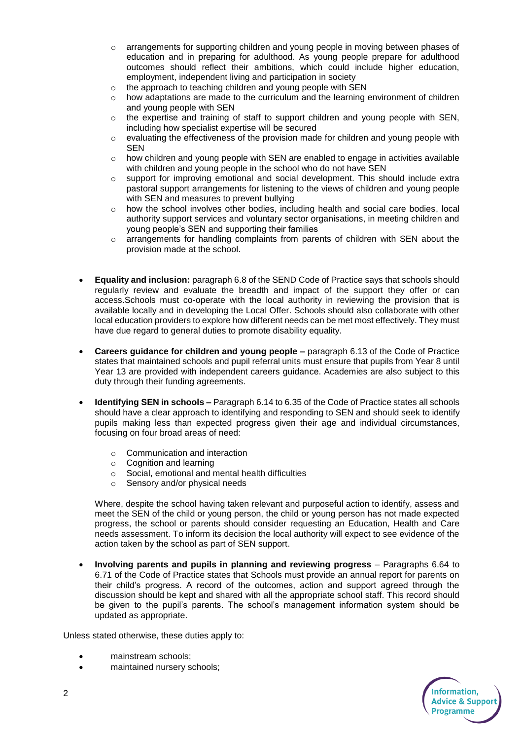- $\circ$  arrangements for supporting children and young people in moving between phases of education and in preparing for adulthood. As young people prepare for adulthood outcomes should reflect their ambitions, which could include higher education, employment, independent living and participation in society
- o the approach to teaching children and young people with SEN
- $\circ$  how adaptations are made to the curriculum and the learning environment of children and young people with SEN
- $\circ$  the expertise and training of staff to support children and young people with SEN, including how specialist expertise will be secured
- $\circ$  evaluating the effectiveness of the provision made for children and young people with **SEN**
- $\circ$  how children and young people with SEN are enabled to engage in activities available with children and young people in the school who do not have SEN
- $\circ$  support for improving emotional and social development. This should include extra pastoral support arrangements for listening to the views of children and young people with SEN and measures to prevent bullying
- o how the school involves other bodies, including health and social care bodies, local authority support services and voluntary sector organisations, in meeting children and young people's SEN and supporting their families
- arrangements for handling complaints from parents of children with SEN about the provision made at the school.
- **Equality and inclusion:** paragraph 6.8 of the SEND Code of Practice says that schools should regularly review and evaluate the breadth and impact of the support they offer or can access.Schools must co-operate with the local authority in reviewing the provision that is available locally and in developing the Local Offer. Schools should also collaborate with other local education providers to explore how different needs can be met most effectively. They must have due regard to general duties to promote disability equality.
- **Careers guidance for children and young people –** paragraph 6.13 of the Code of Practice states that maintained schools and pupil referral units must ensure that pupils from Year 8 until Year 13 are provided with independent careers guidance. Academies are also subject to this duty through their funding agreements.
- **Identifying SEN in schools –** Paragraph 6.14 to 6.35 of the Code of Practice states all schools should have a clear approach to identifying and responding to SEN and should seek to identify pupils making less than expected progress given their age and individual circumstances, focusing on four broad areas of need:
	- o Communication and interaction
	- o Cognition and learning
	- o Social, emotional and mental health difficulties
	- Sensory and/or physical needs

Where, despite the school having taken relevant and purposeful action to identify, assess and meet the SEN of the child or young person, the child or young person has not made expected progress, the school or parents should consider requesting an Education, Health and Care needs assessment. To inform its decision the local authority will expect to see evidence of the action taken by the school as part of SEN support.

 **Involving parents and pupils in planning and reviewing progress** – Paragraphs 6.64 to 6.71 of the Code of Practice states that Schools must provide an annual report for parents on their child's progress. A record of the outcomes, action and support agreed through the discussion should be kept and shared with all the appropriate school staff. This record should be given to the pupil's parents. The school's management information system should be updated as appropriate.

Unless stated otherwise, these duties apply to:

- mainstream schools;
- maintained nursery schools;